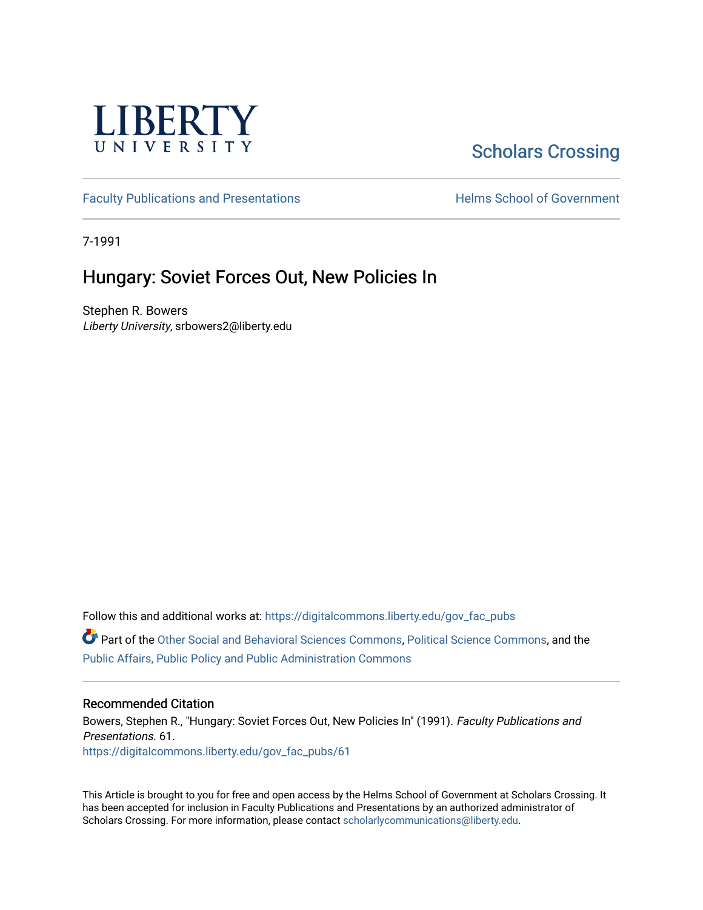

# [Scholars Crossing](https://digitalcommons.liberty.edu/)

[Faculty Publications and Presentations](https://digitalcommons.liberty.edu/gov_fac_pubs) **Exercise School of Government** 

7-1991

## Hungary: Soviet Forces Out, New Policies In

Stephen R. Bowers Liberty University, srbowers2@liberty.edu

Follow this and additional works at: [https://digitalcommons.liberty.edu/gov\\_fac\\_pubs](https://digitalcommons.liberty.edu/gov_fac_pubs?utm_source=digitalcommons.liberty.edu%2Fgov_fac_pubs%2F61&utm_medium=PDF&utm_campaign=PDFCoverPages)

Part of the [Other Social and Behavioral Sciences Commons](http://network.bepress.com/hgg/discipline/437?utm_source=digitalcommons.liberty.edu%2Fgov_fac_pubs%2F61&utm_medium=PDF&utm_campaign=PDFCoverPages), [Political Science Commons](http://network.bepress.com/hgg/discipline/386?utm_source=digitalcommons.liberty.edu%2Fgov_fac_pubs%2F61&utm_medium=PDF&utm_campaign=PDFCoverPages), and the [Public Affairs, Public Policy and Public Administration Commons](http://network.bepress.com/hgg/discipline/393?utm_source=digitalcommons.liberty.edu%2Fgov_fac_pubs%2F61&utm_medium=PDF&utm_campaign=PDFCoverPages)

### Recommended Citation

Bowers, Stephen R., "Hungary: Soviet Forces Out, New Policies In" (1991). Faculty Publications and Presentations. 61. [https://digitalcommons.liberty.edu/gov\\_fac\\_pubs/61](https://digitalcommons.liberty.edu/gov_fac_pubs/61?utm_source=digitalcommons.liberty.edu%2Fgov_fac_pubs%2F61&utm_medium=PDF&utm_campaign=PDFCoverPages) 

This Article is brought to you for free and open access by the Helms School of Government at Scholars Crossing. It has been accepted for inclusion in Faculty Publications and Presentations by an authorized administrator of Scholars Crossing. For more information, please contact [scholarlycommunications@liberty.edu.](mailto:scholarlycommunications@liberty.edu)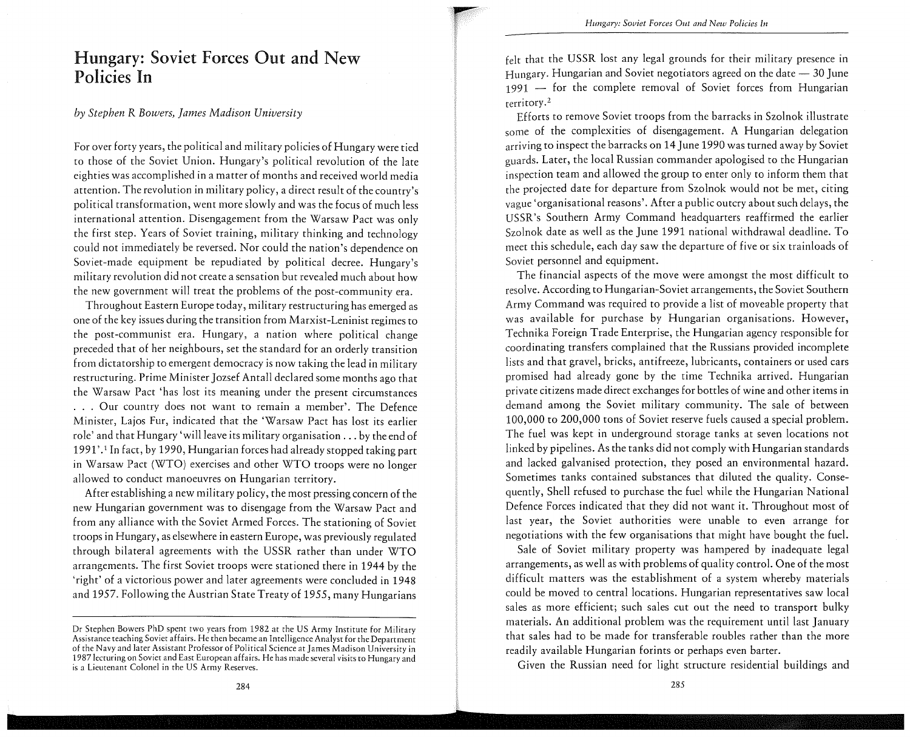## Hungary: Soviet Forces Out and New Policies In

#### *by Stephen* R *Bowers, James Madison University*

For over forty years, the political and military policies of Hungary were tied to those of the Soviet Union. Hungary's political revolution of the late eighties was accomplished in a matter of months and received world media attention. The revolution in military policy, a direct result of the country's political transformation, went more slowly and was the focus of much less international attention. Disengagement from the Warsaw Pact was only the first step. Years of Soviet training, military thinking and technology could not immediately be reversed. Nor could the nation's dependence on Soviet-made equipment be repudiated by political decree. Hungary's military revolution did not create a sensation but revealed much about how the new government will treat the problems of the post-community era.

Throughout Eastern Europe today, military restructuring has emerged as one of the key issues during the transition from Marxist-Leninist regimes to the post-communist era. Hungary, a nation where political change preceded that of her neighbours, set the standard for an orderly transition from dictatorship to emergent democracy is now taking the lead in military restructuring. Prime Minister Jozsef Antall declared some months ago that the Warsaw Pact 'has lost its meaning under the present circumstances . . . Our country does not want to remain a member'. The Defence Minister, Lajos Fur, indicated that the 'Warsaw Pact has lost its earlier role' and that Hungary 'will leave its military organisation ... by the end of 1991'.1 In fact, by 1990, Hungarian forces had already stopped taking part in Warsaw Pact (WTO) exercises and other WTO troops were no longer allowed to conduct manoeuvres on Hungarian territory.

After establishing a new military policy, the most pressing concern of the new Hungarian government was to disengage from the Warsaw Pact and from any alliance with the Soviet Armed Forces. The stationing of Soviet troops in Hungary, as elsewhere in eastern Europe, was previously regulated through bilateral agreements with the USSR rather than under WTO arrangements. The first Soviet troops were stationed there in 1944 by the 'right' of a victorious power and later agreements were concluded in 1948 and 1957. Following the Austrian State Treaty of 1955, many Hungarians

felt that the USSR lost any legal grounds for their military presence in Hungary. Hungarian and Soviet negotiators agreed on the date  $-$  30 June  $1991$  - for the complete removal of Soviet forces from Hungarian **terri tory.** <sup>2</sup>

Efforts to remove Soviet troops from the barracks in Szolnok illustrate some of the complexities of disengagement. A Hungarian delegation arriving ro inspect the barracks on 14 June 1990 was turned away by Soviet guards. Later, the local Russian commander apologised to the Hungarian inspection team and allowed the group to enter only to inform them that the projected date for departure from Szolnok would not be met, citing vague 'organisational reasons'. After a public outcry about such delays, the USSR's Southern Army Command headquarters reaffirmed the earlier Szolnok date as well as the June 1991 national withdrawal deadline. To meet this schedule, each day saw the departure of five or six trainloads of Soviet personnel and equipment.

The financial aspects of the move were amongst the most difficult to resolve. According to Hungarian-Soviet arrangements, the Soviet Southern Army Command was required to provide a list of moveable property that was available for purchase by Hungarian organisations. However, Technika Foreign Trade Enterprise, the Hungarian agency responsible for coordinating transfers complained that the Russians provided incomplete lists and that gravel, bricks, antifreeze, lubricants, containers or used cars promised had already gone by the time Technika arrived. Hungarian private citizens made direct exchanges for bottles of wine and other items in demand among the Soviet military community. The sale of between 100,000 to 200,000 tons of Soviet reserve fuels caused a special problem. The fuel was kept in underground storage tanks at seven locations not linked by pipelines. As the tanks did not comply with Hungarian standards and lacked galvanised protection, they posed an environmental hazard. Sometimes tanks contained substances that diluted the quality. Consequently, Shell refused to purchase the fuel while the Hungarian National Defence Forces indicated that they did not want it. Throughout most of last year, the Soviet authorities were unable to even arrange for negotiations with the few organisations that might have bought the fuel.

Sale of Soviet military property was hampered by inadequate legal arrangements, as well as with problems of quality control. One of the most difficult matters was the establishment of a system whereby materials could be moved to central locations. Hungarian representatives saw local sales as more efficient; such sales cut out the need to transport bulky materials. An additional problem was the requirement until last January that sales had to be made for transferable roubles rather than the more readily available Hungarian forints or perhaps even barter.

Given the Russian need for light structure residential buildings and

Dr Stephen Bowers PhD spent two years from 1982 at the US Army Institute for Military Assistance teaching Soviet affairs. He then became an Intelligence Analyst for the Department of the Navy and later Assistant Professor of Political Science at James Madison University in 1987 lecturing on Soviet and East European affairs. He has made several visits to Hungary and is a Lieutenant Colonel in the US Army Reserves.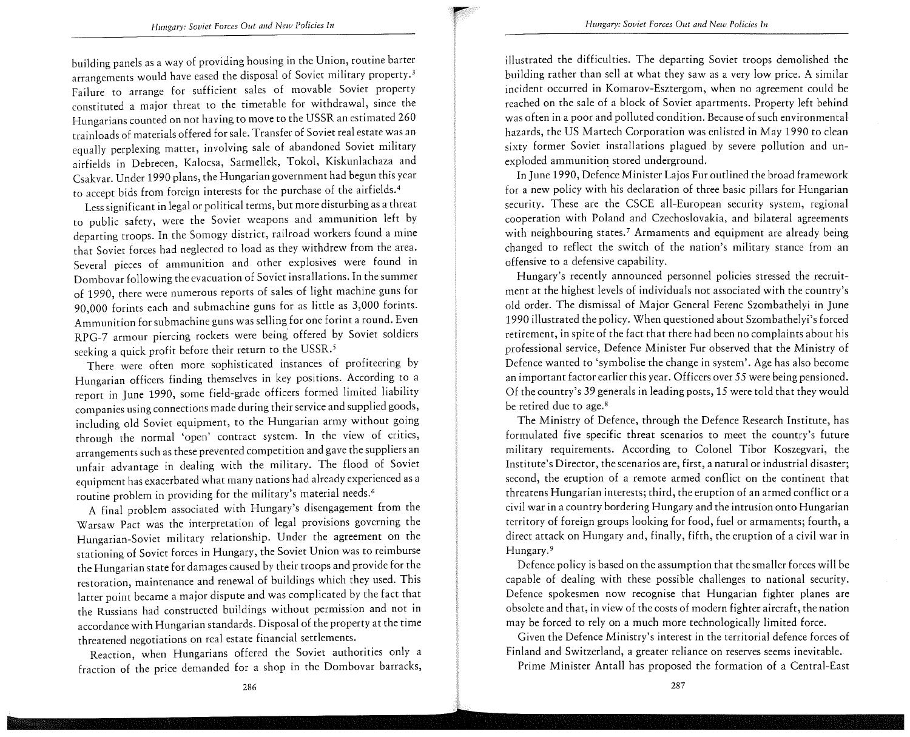building panels as a way of providing housing in the Union, routine barter arrangements would have eased the disposal of Soviet military property.3 Failure ro arrange for sufficient sales of movable Soviet property constituted a major threat to the timetable for withdrawal, since the Hungarians counted on not having to move to the USSR an estimated 260 trainloads of materials offered for sale. Transfer of Soviet real estate was an equally perplexing matter, involving sale of abandoned Soviet military airfields in Debrecen, Kalocsa, Sarmellek, Tokol, Kiskunlachaza and Csakvar. Under 1990 plans, the Hungarian government had begun this year to accept bids from foreign interests for the purchase of the airfields. <sup>4</sup>

Less significant in legal or political terms, but more disturbing as a threat to public safety, were the Soviet weapons and ammunition left by departing troops. **In** the Somogy district, railroad workers found a mine that Soviet forces had neglected to load as they withdrew from the area. Several pieces of ammunition and other explosives were found in Dombovar following the evacuation of Soviet installations. **In** the summer of 1990, there were numerous reports of sales of light machine guns for 90,000 forints each and submachine guns for as little as 3,000 forints. Ammunition for submachine guns was selling for one forint a round. Even RPG-7 armour piercing rockets were being offered by Soviet soldiers seeking a quick profit before their return to the USSR.<sup>5</sup>

There were often more sophisticated instances of profiteering by Hungarian officers finding themselves in key positions. According to a report in June 1990, some field-grade officers formed limited liability companies using connections made during their service and supplied goods, including old Soviet equipment, to the Hungarian army without going through the normal 'open' contract system. **In** the view of critics, arrangements such as these prevented competition and gave the suppliers an unfair advantage in dealing with the military. The flood of Soviet equipment has exacerbated what many nations had already experienced as a routine problem in providing for the military's material needs. <sup>6</sup>

A final problem associated with Hungary's disengagement from the Warsaw Pact was the interpretation of legal provisions governing the Hungarian-Soviet military relationship. Under the agreement on the stationing of Soviet forces in Hungary, the Soviet Union was to reimburse the Hungarian state for damages caused by their troops and provide for the restoration, maintenance and renewal of buildings which they used. This latter point became a major dispute and was complicated by the fact that the Russians had constructed buildings without permission and not in accordance with Hungarian standards. Disposal of the property at the time threatened negotiations on real estate financial settlements.

Reaction, when Hungarians offered the Soviet authorities only a fraction of the price demanded for a shop in the Dombovar barracks,

illustrated the difficulties. The departing Soviet troops demolished the building rather than sell at what they saw as a very low price. A similar incident occurred in Komarov-Esztergom, when no agreement could be reached on the sale of a block of Soviet apartments. Property left behind was often in a poor and polluted condition. Because of such environmental hazards, the US Martech Corporation was enlisted in May 1990 to clean sixty former Soviet installations plagued by severe pollution and unexploded ammunition stored underground.

**In** June 1990, Defence Minister Lajos Fur outlined the broad framework for a new policy with his declaration of three basic pillars for Hungarian security. These are the CSCE all-European security system, regional cooperation with Poland and Czechoslovakia, and bilateral agreements with neighbouring states.<sup>7</sup> Armaments and equipment are already being changed to reflect the switch of the nation's military stance from an offensive to a defensive capability.

Hungary's recently announced personnel policies stressed the recruitment at the highest levels of individuals not associated with the country's old order. The dismissal of Major General Ferenc Szombathelyi in June 1990 illustrated the policy. When questioned about Szombathelyi's forced retirement, in spite of the fact that there had been no complaints about his professional service, Defence Minister Fur observed that the Ministry of Defence wanted to 'symbolise the change in system'. Age has also become an important factor earlier this year. Officers over 55 were being pensioned. Of the country's 39 generals in leading posts, 15 were told that they would be retired due to age.<sup>8</sup>

The Ministry of Defence, through the Defence Research Institute, has formulated five specific threat scenarios to meet the country's future military requirements. According to Colonel Tibor Koszegvari, the Institute's Director, the scenarios are, first, a natural or industrial disaster; second, the eruption of a remote armed conflict on the continent that threatens Hungarian interests; third, the eruption of an armed conflict or a civil war in a country bordering Hungary and the intrusion onto Hungarian territory of foreign groups looking for food, fuel or armaments; fourth, a direct attack on Hungary and, finally, fifth, the eruption of a civil war in Hungary.9

Defence policy is based on the assumption that the smaller forces will be capable of dealing with these possible challenges to national security. Defence spokesmen now recognise that Hungarian fighter planes are obsolete and that, in view of the costs of modern fighter aircraft, the nation may be forced to rely on a much more technologically limited force.

Given the Defence Ministry's interest in the territorial defence forces of Finland and Switzerland, a greater reliance on reserves seems inevitable.

Prime Minister Antall has proposed the formation of a Central-East